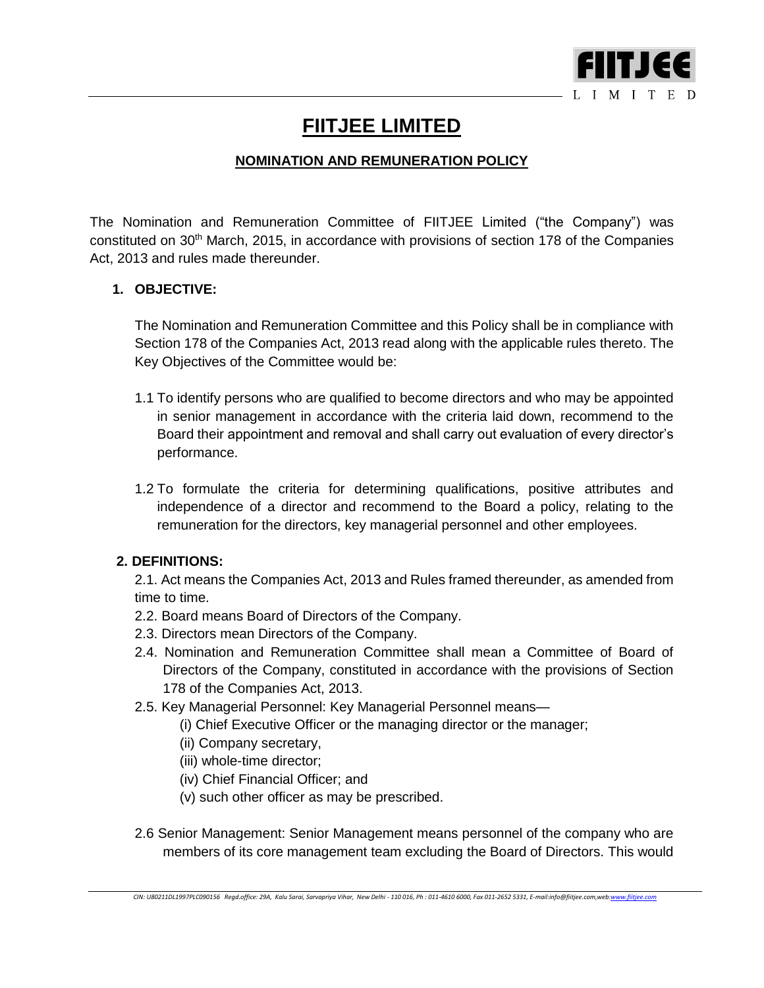

# **FIITJEE LIMITED**

## **NOMINATION AND REMUNERATION POLICY**

The Nomination and Remuneration Committee of FIITJEE Limited ("the Company") was constituted on 30th March, 2015, in accordance with provisions of section 178 of the Companies Act, 2013 and rules made thereunder.

## **1. OBJECTIVE:**

The Nomination and Remuneration Committee and this Policy shall be in compliance with Section 178 of the Companies Act, 2013 read along with the applicable rules thereto. The Key Objectives of the Committee would be:

- 1.1 To identify persons who are qualified to become directors and who may be appointed in senior management in accordance with the criteria laid down, recommend to the Board their appointment and removal and shall carry out evaluation of every director's performance.
- 1.2 To formulate the criteria for determining qualifications, positive attributes and independence of a director and recommend to the Board a policy, relating to the remuneration for the directors, key managerial personnel and other employees.

## **2. DEFINITIONS:**

2.1. Act means the Companies Act, 2013 and Rules framed thereunder, as amended from time to time.

- 2.2. Board means Board of Directors of the Company.
- 2.3. Directors mean Directors of the Company.
- 2.4. Nomination and Remuneration Committee shall mean a Committee of Board of Directors of the Company, constituted in accordance with the provisions of Section 178 of the Companies Act, 2013.
- 2.5. Key Managerial Personnel: Key Managerial Personnel means—
	- (i) Chief Executive Officer or the managing director or the manager;
	- (ii) Company secretary,
	- (iii) whole-time director;
	- (iv) Chief Financial Officer; and
	- (v) such other officer as may be prescribed.
- 2.6 Senior Management: Senior Management means personnel of the company who are members of its core management team excluding the Board of Directors. This would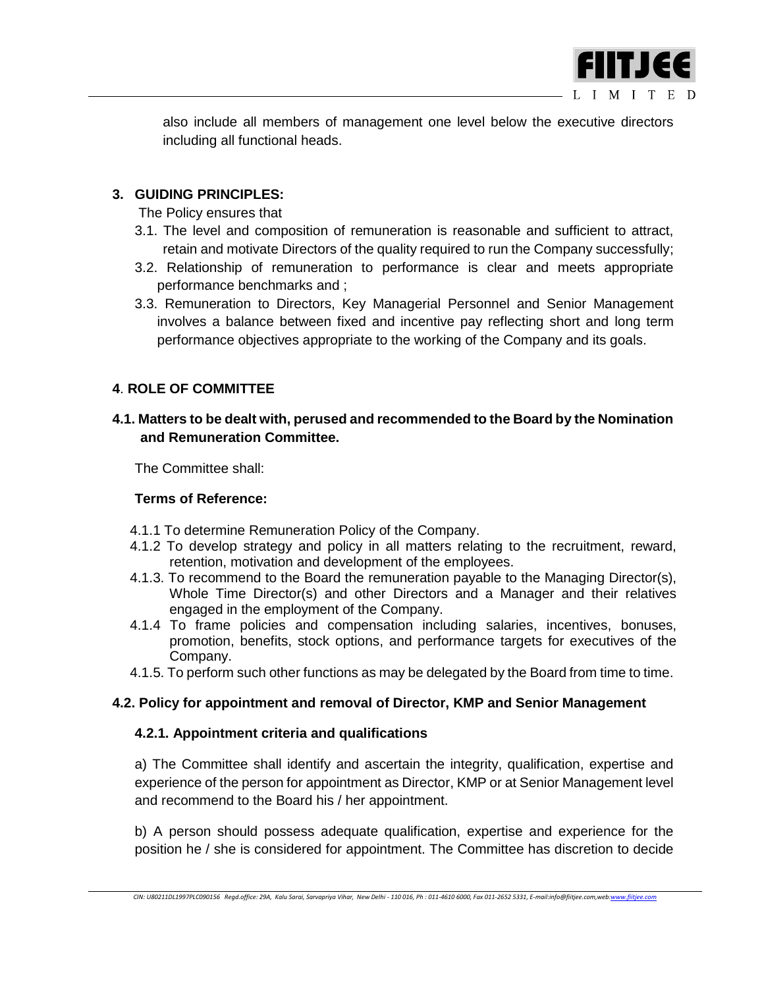

also include all members of management one level below the executive directors including all functional heads.

## **3. GUIDING PRINCIPLES:**

The Policy ensures that

- 3.1. The level and composition of remuneration is reasonable and sufficient to attract, retain and motivate Directors of the quality required to run the Company successfully;
- 3.2. Relationship of remuneration to performance is clear and meets appropriate performance benchmarks and ;
- 3.3. Remuneration to Directors, Key Managerial Personnel and Senior Management involves a balance between fixed and incentive pay reflecting short and long term performance objectives appropriate to the working of the Company and its goals.

### **4**. **ROLE OF COMMITTEE**

## **4.1. Matters to be dealt with, perused and recommended to the Board by the Nomination and Remuneration Committee.**

The Committee shall:

#### **Terms of Reference:**

- 4.1.1 To determine Remuneration Policy of the Company.
- 4.1.2 To develop strategy and policy in all matters relating to the recruitment, reward, retention, motivation and development of the employees.
- 4.1.3. To recommend to the Board the remuneration payable to the Managing Director(s), Whole Time Director(s) and other Directors and a Manager and their relatives engaged in the employment of the Company.
- 4.1.4 To frame policies and compensation including salaries, incentives, bonuses, promotion, benefits, stock options, and performance targets for executives of the Company.
- 4.1.5. To perform such other functions as may be delegated by the Board from time to time.

#### **4.2. Policy for appointment and removal of Director, KMP and Senior Management**

#### **4.2.1. Appointment criteria and qualifications**

a) The Committee shall identify and ascertain the integrity, qualification, expertise and experience of the person for appointment as Director, KMP or at Senior Management level and recommend to the Board his / her appointment.

b) A person should possess adequate qualification, expertise and experience for the position he / she is considered for appointment. The Committee has discretion to decide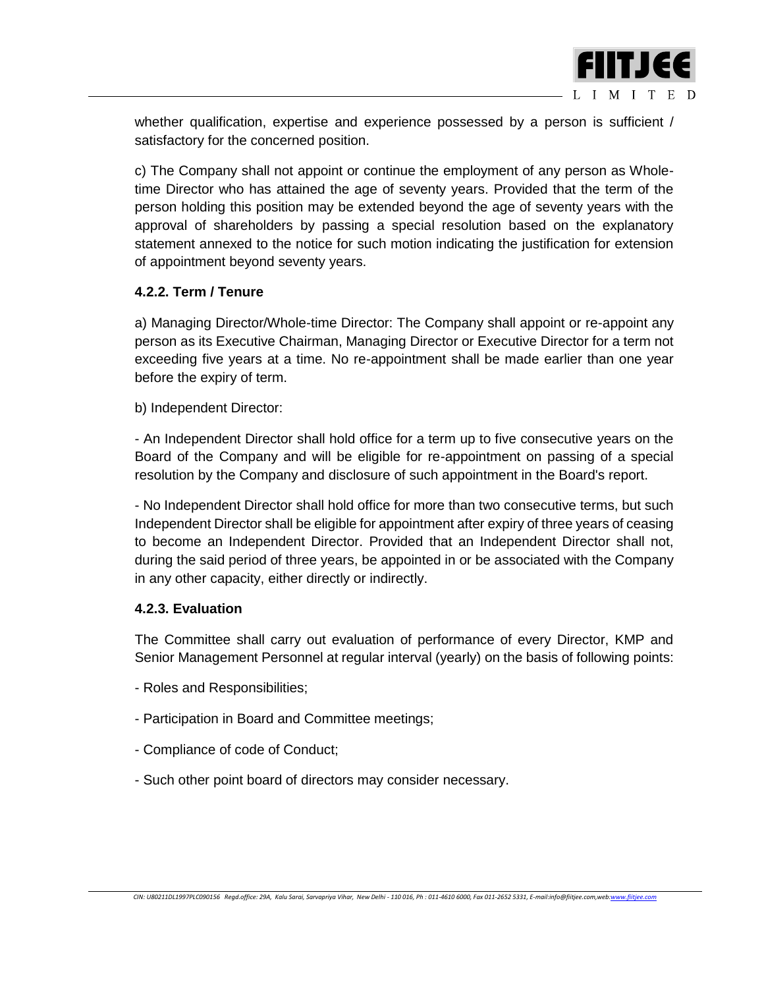

whether qualification, expertise and experience possessed by a person is sufficient / satisfactory for the concerned position.

c) The Company shall not appoint or continue the employment of any person as Wholetime Director who has attained the age of seventy years. Provided that the term of the person holding this position may be extended beyond the age of seventy years with the approval of shareholders by passing a special resolution based on the explanatory statement annexed to the notice for such motion indicating the justification for extension of appointment beyond seventy years.

#### **4.2.2. Term / Tenure**

a) Managing Director/Whole-time Director: The Company shall appoint or re-appoint any person as its Executive Chairman, Managing Director or Executive Director for a term not exceeding five years at a time. No re-appointment shall be made earlier than one year before the expiry of term.

b) Independent Director:

- An Independent Director shall hold office for a term up to five consecutive years on the Board of the Company and will be eligible for re-appointment on passing of a special resolution by the Company and disclosure of such appointment in the Board's report.

- No Independent Director shall hold office for more than two consecutive terms, but such Independent Director shall be eligible for appointment after expiry of three years of ceasing to become an Independent Director. Provided that an Independent Director shall not, during the said period of three years, be appointed in or be associated with the Company in any other capacity, either directly or indirectly.

#### **4.2.3. Evaluation**

The Committee shall carry out evaluation of performance of every Director, KMP and Senior Management Personnel at regular interval (yearly) on the basis of following points:

- Roles and Responsibilities;
- Participation in Board and Committee meetings;
- Compliance of code of Conduct;
- Such other point board of directors may consider necessary.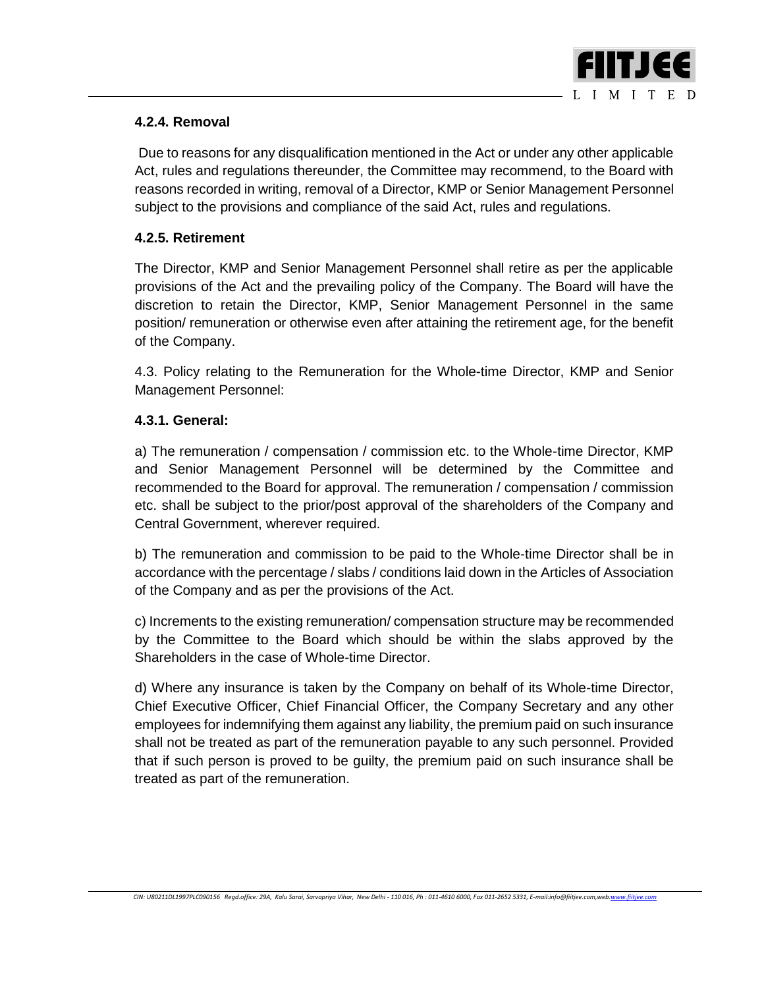

## **4.2.4. Removal**

Due to reasons for any disqualification mentioned in the Act or under any other applicable Act, rules and regulations thereunder, the Committee may recommend, to the Board with reasons recorded in writing, removal of a Director, KMP or Senior Management Personnel subject to the provisions and compliance of the said Act, rules and regulations.

### **4.2.5. Retirement**

The Director, KMP and Senior Management Personnel shall retire as per the applicable provisions of the Act and the prevailing policy of the Company. The Board will have the discretion to retain the Director, KMP, Senior Management Personnel in the same position/ remuneration or otherwise even after attaining the retirement age, for the benefit of the Company.

4.3. Policy relating to the Remuneration for the Whole-time Director, KMP and Senior Management Personnel:

#### **4.3.1. General:**

a) The remuneration / compensation / commission etc. to the Whole-time Director, KMP and Senior Management Personnel will be determined by the Committee and recommended to the Board for approval. The remuneration / compensation / commission etc. shall be subject to the prior/post approval of the shareholders of the Company and Central Government, wherever required.

b) The remuneration and commission to be paid to the Whole-time Director shall be in accordance with the percentage / slabs / conditions laid down in the Articles of Association of the Company and as per the provisions of the Act.

c) Increments to the existing remuneration/ compensation structure may be recommended by the Committee to the Board which should be within the slabs approved by the Shareholders in the case of Whole-time Director.

d) Where any insurance is taken by the Company on behalf of its Whole-time Director, Chief Executive Officer, Chief Financial Officer, the Company Secretary and any other employees for indemnifying them against any liability, the premium paid on such insurance shall not be treated as part of the remuneration payable to any such personnel. Provided that if such person is proved to be guilty, the premium paid on such insurance shall be treated as part of the remuneration.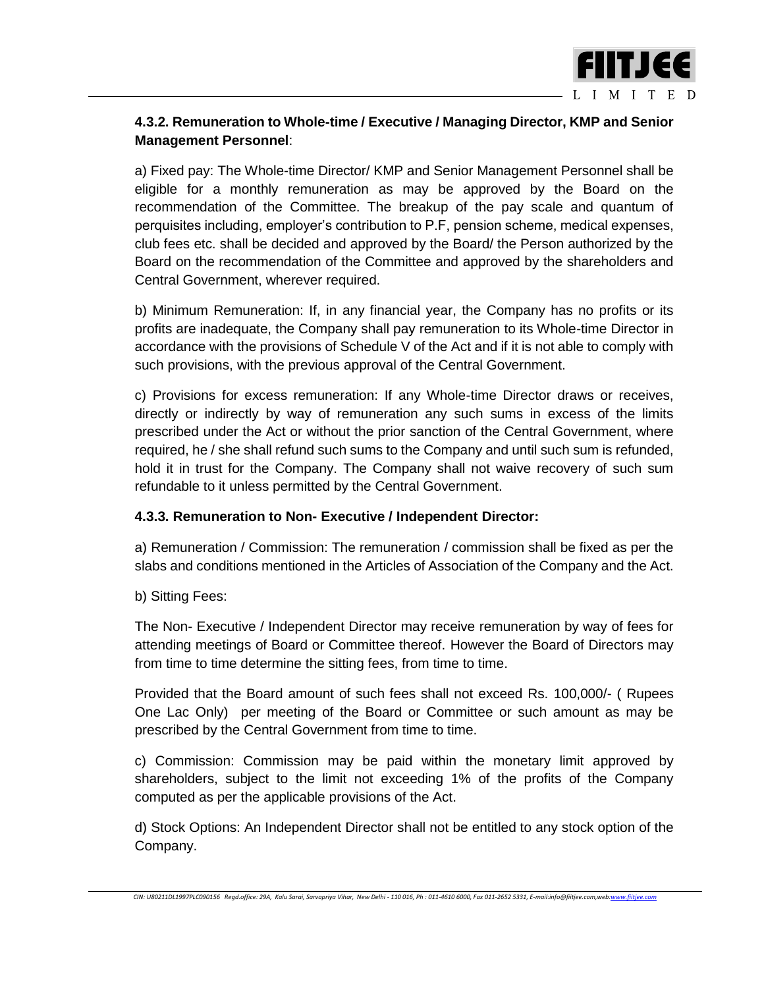

## **4.3.2. Remuneration to Whole-time / Executive / Managing Director, KMP and Senior Management Personnel**:

a) Fixed pay: The Whole-time Director/ KMP and Senior Management Personnel shall be eligible for a monthly remuneration as may be approved by the Board on the recommendation of the Committee. The breakup of the pay scale and quantum of perquisites including, employer's contribution to P.F, pension scheme, medical expenses, club fees etc. shall be decided and approved by the Board/ the Person authorized by the Board on the recommendation of the Committee and approved by the shareholders and Central Government, wherever required.

b) Minimum Remuneration: If, in any financial year, the Company has no profits or its profits are inadequate, the Company shall pay remuneration to its Whole-time Director in accordance with the provisions of Schedule V of the Act and if it is not able to comply with such provisions, with the previous approval of the Central Government.

c) Provisions for excess remuneration: If any Whole-time Director draws or receives, directly or indirectly by way of remuneration any such sums in excess of the limits prescribed under the Act or without the prior sanction of the Central Government, where required, he / she shall refund such sums to the Company and until such sum is refunded, hold it in trust for the Company. The Company shall not waive recovery of such sum refundable to it unless permitted by the Central Government.

#### **4.3.3. Remuneration to Non- Executive / Independent Director:**

a) Remuneration / Commission: The remuneration / commission shall be fixed as per the slabs and conditions mentioned in the Articles of Association of the Company and the Act.

b) Sitting Fees:

The Non- Executive / Independent Director may receive remuneration by way of fees for attending meetings of Board or Committee thereof. However the Board of Directors may from time to time determine the sitting fees, from time to time.

Provided that the Board amount of such fees shall not exceed Rs. 100,000/- ( Rupees One Lac Only) per meeting of the Board or Committee or such amount as may be prescribed by the Central Government from time to time.

c) Commission: Commission may be paid within the monetary limit approved by shareholders, subject to the limit not exceeding 1% of the profits of the Company computed as per the applicable provisions of the Act.

d) Stock Options: An Independent Director shall not be entitled to any stock option of the Company.

*CIN: U80211DL1997PLC090156 Regd.office: 29A, Kalu Sarai, Sarvapriya Vihar, New Delhi - 110 016, Ph : 011-4610 6000, Fax 011-2652 5331, E-mail:info@fiitjee.com,we[b:www.fiitjee.com](http://www.fiitjee.com/)*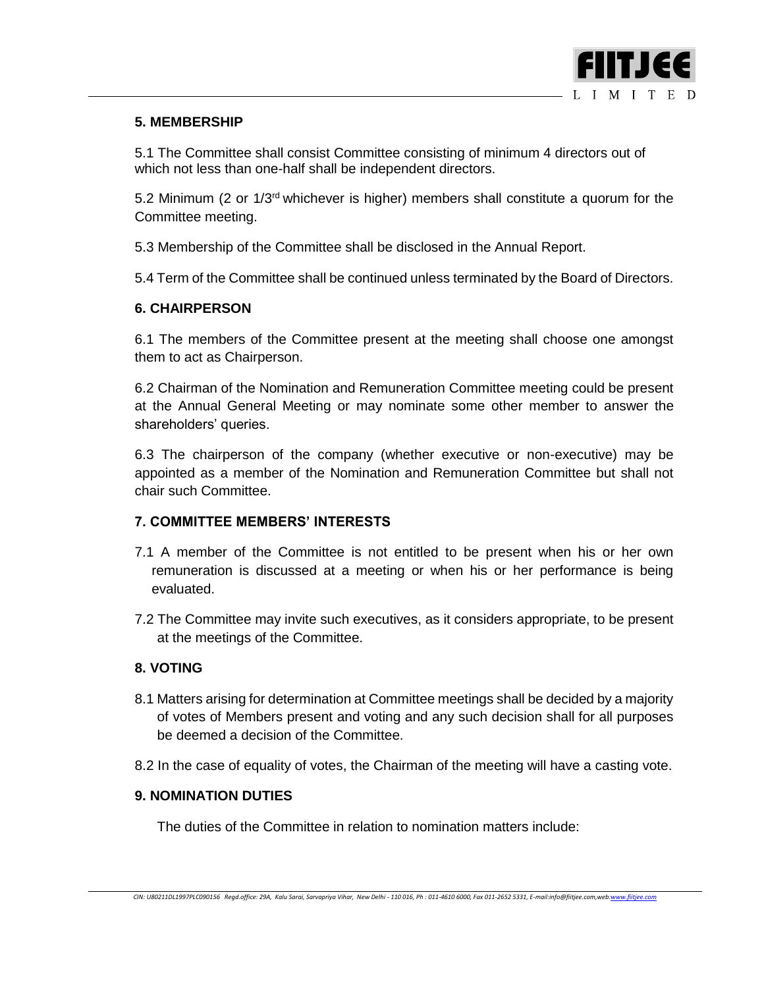

### **5. MEMBERSHIP**

5.1 The Committee shall consist Committee consisting of minimum 4 directors out of which not less than one-half shall be independent directors.

5.2 Minimum (2 or  $1/3<sup>rd</sup>$  whichever is higher) members shall constitute a quorum for the Committee meeting.

5.3 Membership of the Committee shall be disclosed in the Annual Report.

5.4 Term of the Committee shall be continued unless terminated by the Board of Directors.

### **6. CHAIRPERSON**

6.1 The members of the Committee present at the meeting shall choose one amongst them to act as Chairperson.

6.2 Chairman of the Nomination and Remuneration Committee meeting could be present at the Annual General Meeting or may nominate some other member to answer the shareholders' queries.

6.3 The chairperson of the company (whether executive or non-executive) may be appointed as a member of the Nomination and Remuneration Committee but shall not chair such Committee.

## **7. COMMITTEE MEMBERS' INTERESTS**

- 7.1 A member of the Committee is not entitled to be present when his or her own remuneration is discussed at a meeting or when his or her performance is being evaluated.
- 7.2 The Committee may invite such executives, as it considers appropriate, to be present at the meetings of the Committee.

#### **8. VOTING**

- 8.1 Matters arising for determination at Committee meetings shall be decided by a majority of votes of Members present and voting and any such decision shall for all purposes be deemed a decision of the Committee.
- 8.2 In the case of equality of votes, the Chairman of the meeting will have a casting vote.

#### **9. NOMINATION DUTIES**

The duties of the Committee in relation to nomination matters include: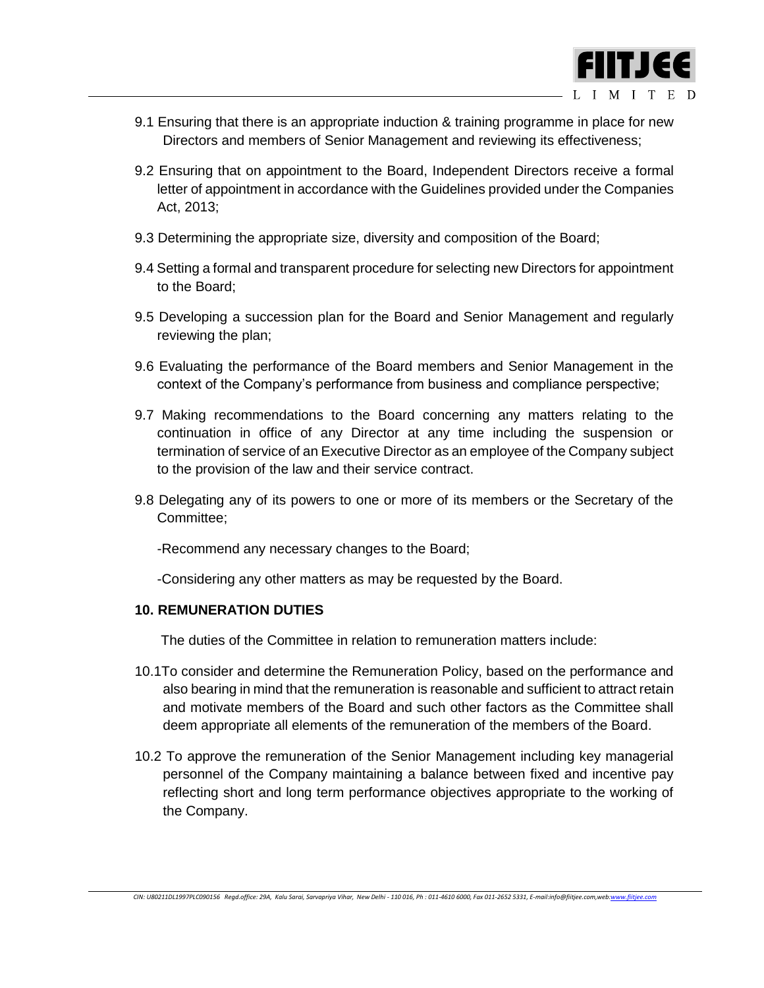

- 9.1 Ensuring that there is an appropriate induction & training programme in place for new Directors and members of Senior Management and reviewing its effectiveness;
- 9.2 Ensuring that on appointment to the Board, Independent Directors receive a formal letter of appointment in accordance with the Guidelines provided under the Companies Act, 2013;
- 9.3 Determining the appropriate size, diversity and composition of the Board;
- 9.4 Setting a formal and transparent procedure for selecting new Directors for appointment to the Board;
- 9.5 Developing a succession plan for the Board and Senior Management and regularly reviewing the plan;
- 9.6 Evaluating the performance of the Board members and Senior Management in the context of the Company's performance from business and compliance perspective;
- 9.7 Making recommendations to the Board concerning any matters relating to the continuation in office of any Director at any time including the suspension or termination of service of an Executive Director as an employee of the Company subject to the provision of the law and their service contract.
- 9.8 Delegating any of its powers to one or more of its members or the Secretary of the Committee;

-Recommend any necessary changes to the Board;

-Considering any other matters as may be requested by the Board.

#### **10. REMUNERATION DUTIES**

The duties of the Committee in relation to remuneration matters include:

- 10.1To consider and determine the Remuneration Policy, based on the performance and also bearing in mind that the remuneration is reasonable and sufficient to attract retain and motivate members of the Board and such other factors as the Committee shall deem appropriate all elements of the remuneration of the members of the Board.
- 10.2 To approve the remuneration of the Senior Management including key managerial personnel of the Company maintaining a balance between fixed and incentive pay reflecting short and long term performance objectives appropriate to the working of the Company.